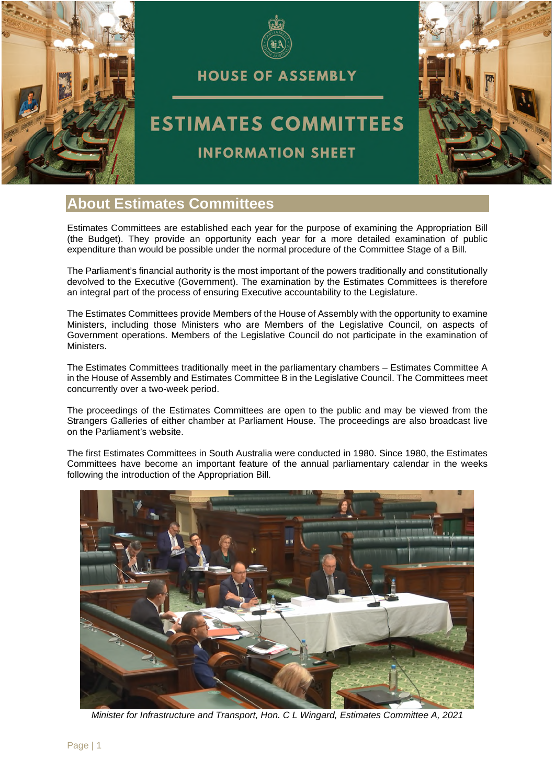



**HOUSE OF ASSEMBLY** 

# **ESTIMATES COMMITTEES**



#### **INFORMATION SHEET**

## **About Estimates Committees**

Estimates Committees are established each year for the purpose of examining the Appropriation Bill (the Budget). They provide an opportunity each year for a more detailed examination of public expenditure than would be possible under the normal procedure of the Committee Stage of a Bill.

The Parliament's financial authority is the most important of the powers traditionally and constitutionally devolved to the Executive (Government). The examination by the Estimates Committees is therefore an integral part of the process of ensuring Executive accountability to the Legislature.

The Estimates Committees provide Members of the House of Assembly with the opportunity to examine Ministers, including those Ministers who are Members of the Legislative Council, on aspects of Government operations. Members of the Legislative Council do not participate in the examination of Ministers.

The Estimates Committees traditionally meet in the parliamentary chambers – Estimates Committee A in the House of Assembly and Estimates Committee B in the Legislative Council. The Committees meet concurrently over a two-week period.

The proceedings of the Estimates Committees are open to the public and may be viewed from the Strangers Galleries of either chamber at Parliament House. The proceedings are also broadcast live on the Parliament's website.

The first Estimates Committees in South Australia were conducted in 1980. Since 1980, the Estimates Committees have become an important feature of the annual parliamentary calendar in the weeks following the introduction of the Appropriation Bill.



*Minister for Infrastructure and Transport, Hon. C L Wingard, Estimates Committee A, 2021*